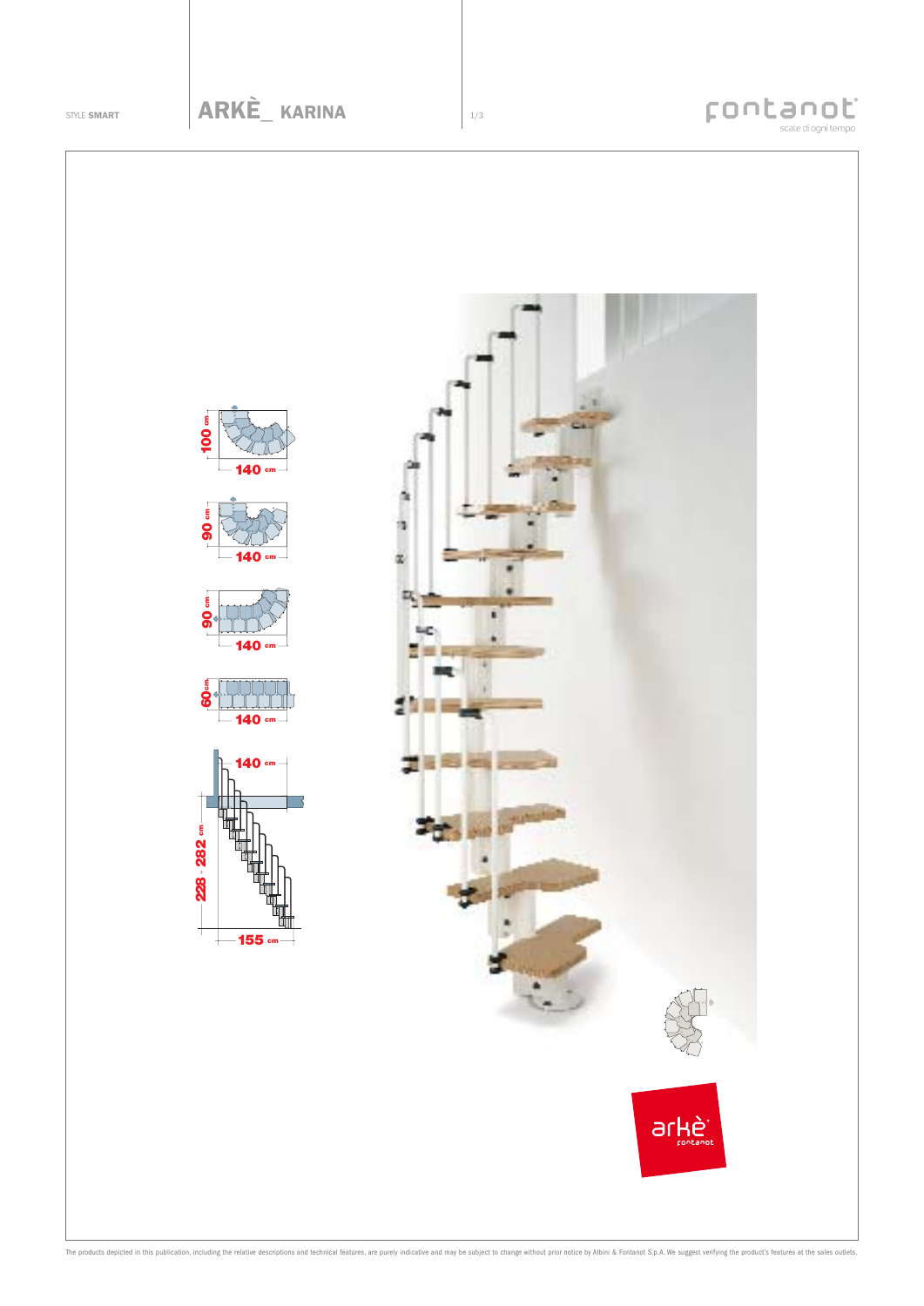## Fontanot













The products depicted in this publication, including the relative descriptions and technical features, are purely indicative and may be subject to change without prior notice by Albini & Fontanot S.p.A. We suggest verifyin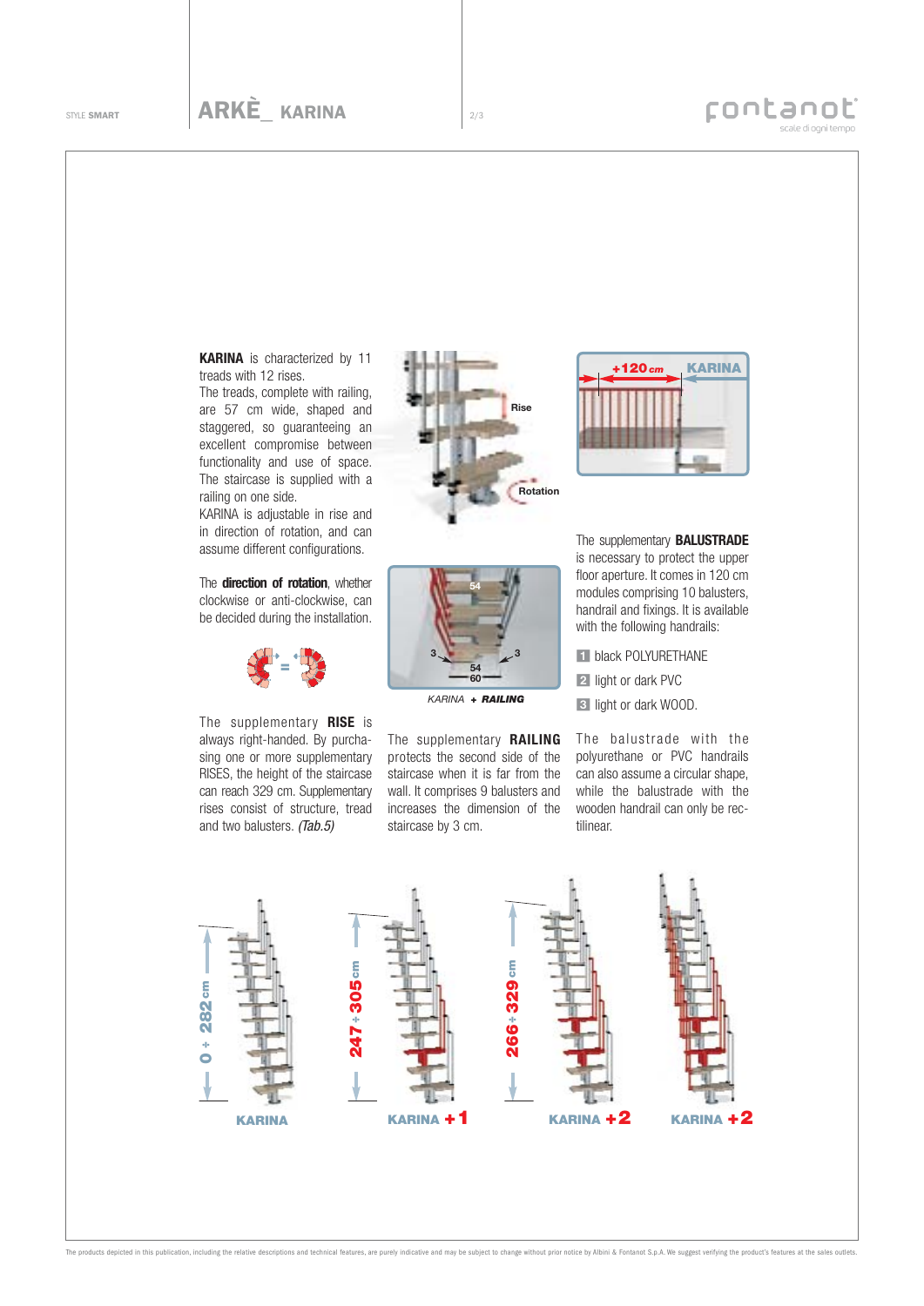## Four Scale diognitempo

treads with 12 rises.

The treads, complete with railing, are 57 cm wide, shaped and staggered, so guaranteeing an excellent compromise between functionality and use of space. The staircase is supplied with a railing on one side.

KARINA is adjustable in rise and in direction of rotation, and can assume different configurations.

The **direction of rotation**, whether clockwise or anti-clockwise, can be decided during the installation.



The supplementary **RISE** is always right-handed. By purchasing one or more supplementary RISES, the height of the staircase can reach 329 cm. Supplementary rises consist of structure, tread and two balusters. (Tab.5)





*KARINA + RAILING*

The supplementary **RAILING** protects the second side of the staircase when it is far from the wall. It comprises 9 balusters and increases the dimension of the staircase by 3 cm.



The supplementary **BALUSTRADE** is necessary to protect the upper floor aperture. It comes in 120 cm modules comprising 10 balusters, handrail and fixings. It is available with the following handrails:

**El black POLYURETHANE** 2 light or dark PVC **3** light or dark WOOD.

The balustrade with the polyurethane or PVC handrails can also assume a circular shape, while the balustrade with the wooden handrail can only be rectilinear.